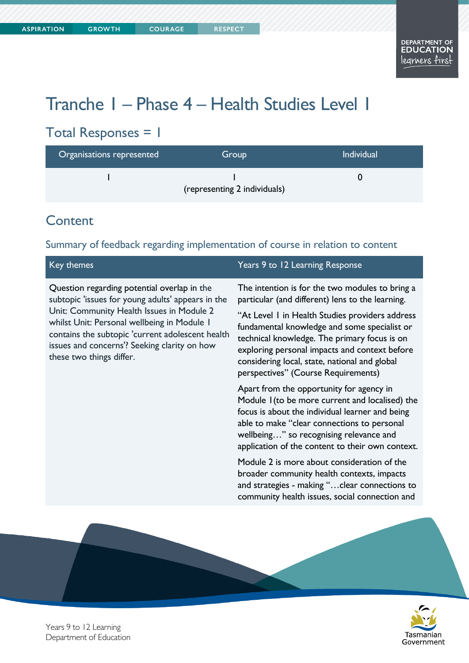# Tranche 1 – Phase 4 – Health Studies Level 1

## Total Responses = 1

| Organisations represented | Group                        | Individual |
|---------------------------|------------------------------|------------|
|                           | (representing 2 individuals) |            |

### **Content**

Summary of feedback regarding implementation of course in relation to content

| Key themes                                                                                                                                                                                                                                                                                                                   | Years 9 to 12 Learning Response                                                                                                                                                                                                                                                                                                                                                                 |
|------------------------------------------------------------------------------------------------------------------------------------------------------------------------------------------------------------------------------------------------------------------------------------------------------------------------------|-------------------------------------------------------------------------------------------------------------------------------------------------------------------------------------------------------------------------------------------------------------------------------------------------------------------------------------------------------------------------------------------------|
| Question regarding potential overlap in the<br>subtopic 'issues for young adults' appears in the<br>Unit: Community Health Issues in Module 2<br>whilst Unit: Personal wellbeing in Module 1<br>contains the subtopic 'current adolescent health<br>issues and concerns'? Seeking clarity on how<br>these two things differ. | The intention is for the two modules to bring a<br>particular (and different) lens to the learning.<br>"At Level I in Health Studies providers address<br>fundamental knowledge and some specialist or<br>technical knowledge. The primary focus is on<br>exploring personal impacts and context before<br>considering local, state, national and global<br>perspectives" (Course Requirements) |
|                                                                                                                                                                                                                                                                                                                              | Apart from the opportunity for agency in<br>Module I (to be more current and localised) the<br>focus is about the individual learner and being<br>able to make "clear connections to personal<br>wellbeing" so recognising relevance and<br>application of the content to their own context.                                                                                                    |
|                                                                                                                                                                                                                                                                                                                              | Module 2 is more about consideration of the<br>broader community health contexts, impacts<br>and strategies - making "clear connections to<br>community health issues, social connection and                                                                                                                                                                                                    |
|                                                                                                                                                                                                                                                                                                                              |                                                                                                                                                                                                                                                                                                                                                                                                 |



Years 9 to 12 Learning Department of Education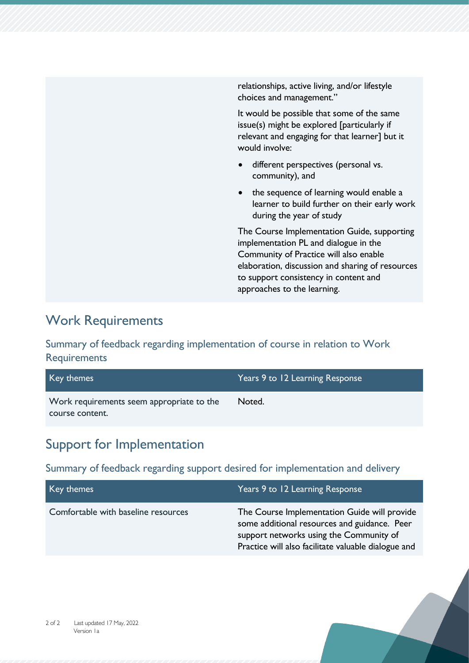

#### Work Requirements

Summary of feedback regarding implementation of course in relation to Work **Requirements** 

| Key themes                                                   | Years 9 to 12 Learning Response |
|--------------------------------------------------------------|---------------------------------|
| Work requirements seem appropriate to the<br>course content. | Noted.                          |

## Support for Implementation

Summary of feedback regarding support desired for implementation and delivery

| Key themes                          | Years 9 to 12 Learning Response                                                                                                                                                                |
|-------------------------------------|------------------------------------------------------------------------------------------------------------------------------------------------------------------------------------------------|
| Comfortable with baseline resources | The Course Implementation Guide will provide<br>some additional resources and guidance. Peer<br>support networks using the Community of<br>Practice will also facilitate valuable dialogue and |